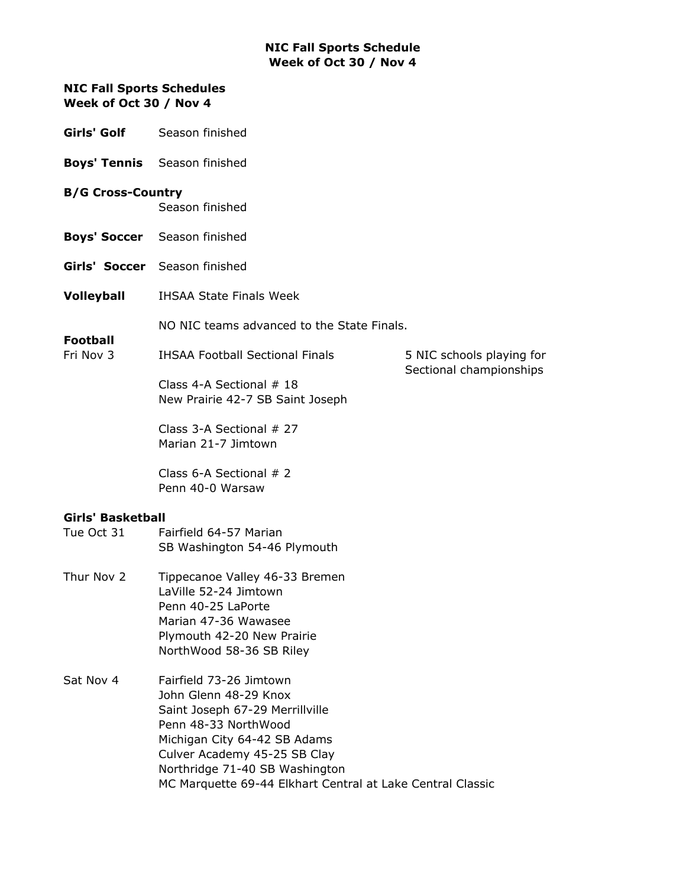## **NIC Fall Sports Schedule Week of Oct 30 / Nov 4**

Sectional championships

### **NIC Fall Sports Schedules Week of Oct 30 / Nov 4**

- **Girls' Golf** Season finished
- **Boys' Tennis** Season finished

#### **B/G Cross-Country**

Season finished

- **Boys' Soccer** Season finished
- **Girls' Soccer** Season finished
- **Volleyball** IHSAA State Finals Week

NO NIC teams advanced to the State Finals.

#### **Football**

Fri Nov 3 IHSAA Football Sectional Finals 5 NIC schools playing for

Class 4-A Sectional # 18 New Prairie 42-7 SB Saint Joseph

Class 3-A Sectional # 27 Marian 21-7 Jimtown

Class 6-A Sectional # 2 Penn 40-0 Warsaw

#### **Girls' Basketball**

- Tue Oct 31 Fairfield 64-57 Marian SB Washington 54-46 Plymouth
- Thur Nov 2 Tippecanoe Valley 46-33 Bremen LaVille 52-24 Jimtown Penn 40-25 LaPorte Marian 47-36 Wawasee Plymouth 42-20 New Prairie NorthWood 58-36 SB Riley
- Sat Nov 4 Fairfield 73-26 Jimtown John Glenn 48-29 Knox Saint Joseph 67-29 Merrillville Penn 48-33 NorthWood Michigan City 64-42 SB Adams Culver Academy 45-25 SB Clay Northridge 71-40 SB Washington MC Marquette 69-44 Elkhart Central at Lake Central Classic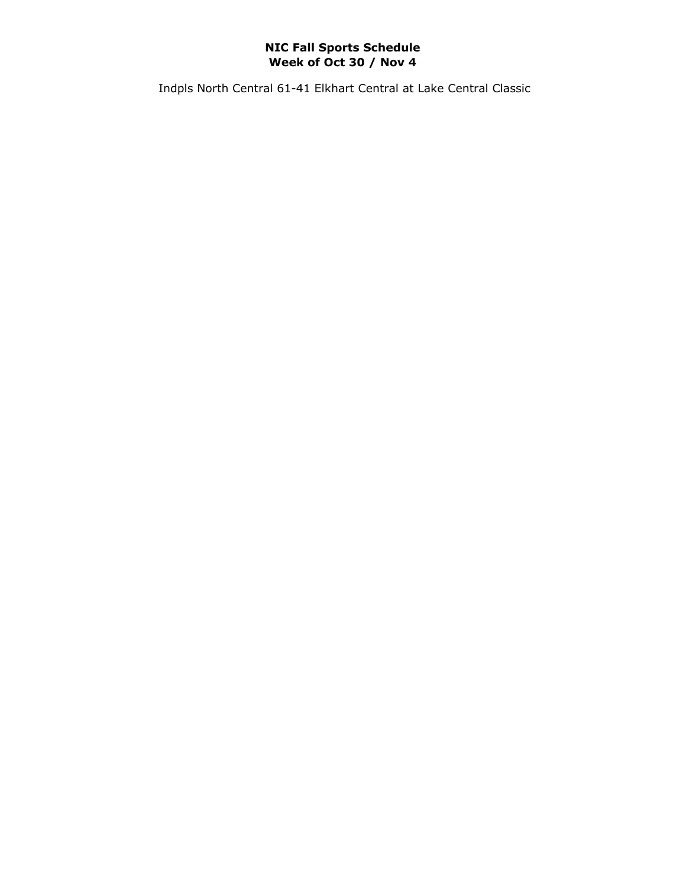# **NIC Fall Sports Schedule Week of Oct 30 / Nov 4**

Indpls North Central 61-41 Elkhart Central at Lake Central Classic